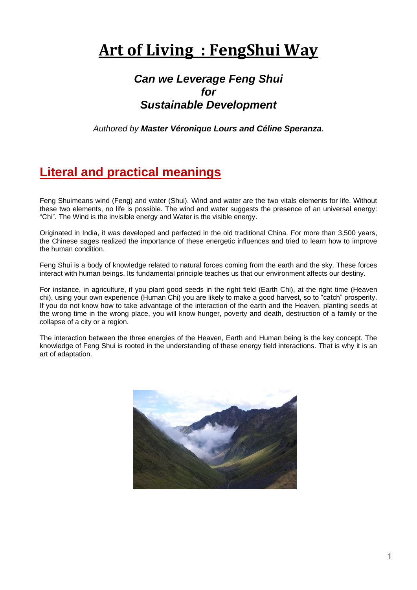# **Art of Living : FengShui Way**

### *Can we Leverage Feng Shui for Sustainable Development*

*Authored by Master Véronique Lours and Céline Speranza.*

# **Literal and practical meanings**

Feng Shuimeans wind (Feng) and water (Shui). Wind and water are the two vitals elements for life. Without these two elements, no life is possible. The wind and water suggests the presence of an universal energy: "Chi". The Wind is the invisible energy and Water is the visible energy.

Originated in India, it was developed and perfected in the old traditional China. For more than 3,500 years, the Chinese sages realized the importance of these energetic influences and tried to learn how to improve the human condition.

Feng Shui is a body of knowledge related to natural forces coming from the earth and the sky. These forces interact with human beings. Its fundamental principle teaches us that our environment affects our destiny.

For instance, in agriculture, if you plant good seeds in the right field (Earth Chi), at the right time (Heaven chi), using your own experience (Human Chi) you are likely to make a good harvest, so to "catch" prosperity. If you do not know how to take advantage of the interaction of the earth and the Heaven, planting seeds at the wrong time in the wrong place, you will know hunger, poverty and death, destruction of a family or the collapse of a city or a region.

The interaction between the three energies of the Heaven, Earth and Human being is the key concept. The knowledge of Feng Shui is rooted in the understanding of these energy field interactions. That is why it is an art of adaptation.

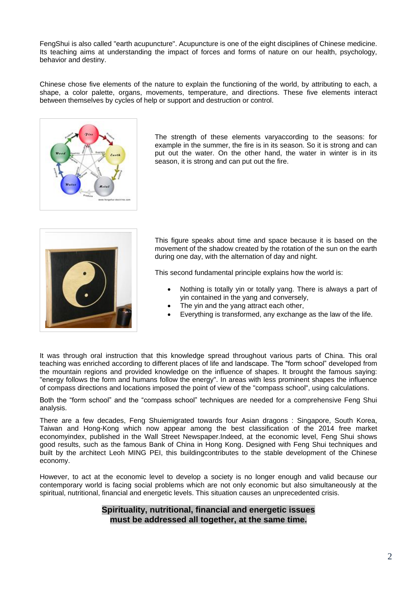FengShui is also called "earth acupuncture". Acupuncture is one of the eight disciplines of Chinese medicine. Its teaching aims at understanding the impact of forces and forms of nature on our health, psychology, behavior and destiny.

Chinese chose five elements of the nature to explain the functioning of the world, by attributing to each, a shape, a color palette, organs, movements, temperature, and directions. These five elements interact between themselves by cycles of help or support and destruction or control.



The strength of these elements varyaccording to the seasons: for example in the summer, the fire is in its season. So it is strong and can put out the water. On the other hand, the water in winter is in its season, it is strong and can put out the fire.



This figure speaks about time and space because it is based on the movement of the shadow created by the rotation of the sun on the earth during one day, with the alternation of day and night.

This second fundamental principle explains how the world is:

- Nothing is totally yin or totally yang. There is always a part of yin contained in the yang and conversely,
- The yin and the yang attract each other,
- Everything is transformed, any exchange as the law of the life.

It was through oral instruction that this knowledge spread throughout various parts of China. This oral teaching was enriched according to different places of life and landscape. The "form school" developed from the mountain regions and provided knowledge on the influence of shapes. It brought the famous saying: "energy follows the form and humans follow the energy". In areas with less prominent shapes the influence of compass directions and locations imposed the point of view of the "compass school", using calculations.

Both the "form school" and the "compass school" techniques are needed for a comprehensive Feng Shui analysis.

There are a few decades, Feng Shuiemigrated towards four Asian dragons : Singapore, South Korea, Taiwan and Hong-Kong which now appear among the best classification of the 2014 free market economyindex, published in the Wall Street Newspaper.Indeed, at the economic level, Feng Shui shows good results, such as the famous Bank of China in Hong Kong. Designed with Feng Shui techniques and built by the architect Leoh MING PEI, this buildingcontributes to the stable development of the Chinese economy.

However, to act at the economic level to develop a society is no longer enough and valid because our contemporary world is facing social problems which are not only economic but also simultaneously at the spiritual, nutritional, financial and energetic levels. This situation causes an unprecedented crisis.

#### **Spirituality, nutritional, financial and energetic issues must be addressed all together, at the same time.**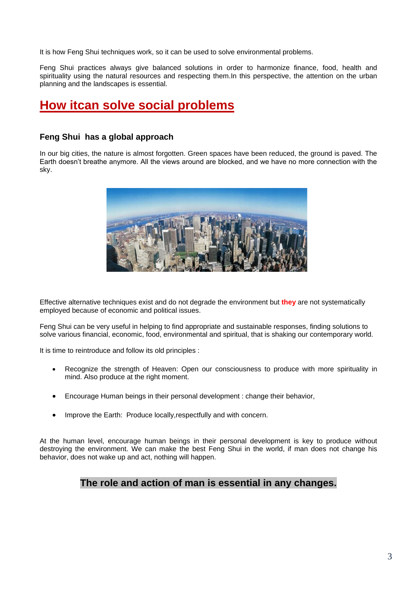It is how Feng Shui techniques work, so it can be used to solve environmental problems.

Feng Shui practices always give balanced solutions in order to harmonize finance, food, health and spirituality using the natural resources and respecting them. In this perspective, the attention on the urban planning and the landscapes is essential.

### **How itcan solve social problems**

#### **Feng Shui has a global approach**

In our big cities, the nature is almost forgotten. Green spaces have been reduced, the ground is paved. The Earth doesn"t breathe anymore. All the views around are blocked, and we have no more connection with the sky.



Effective alternative techniques exist and do not degrade the environment but **they** are not systematically employed because of economic and political issues.

Feng Shui can be very useful in helping to find appropriate and sustainable responses, finding solutions to solve various financial, economic, food, environmental and spiritual, that is shaking our contemporary world.

It is time to reintroduce and follow its old principles :

- Recognize the strength of Heaven: Open our consciousness to produce with more spirituality in mind. Also produce at the right moment.
- Encourage Human beings in their personal development : change their behavior,
- Improve the Earth: Produce locally,respectfully and with concern.

At the human level, encourage human beings in their personal development is key to produce without destroying the environment. We can make the best Feng Shui in the world, if man does not change his behavior, does not wake up and act, nothing will happen.

#### **The role and action of man is essential in any changes.**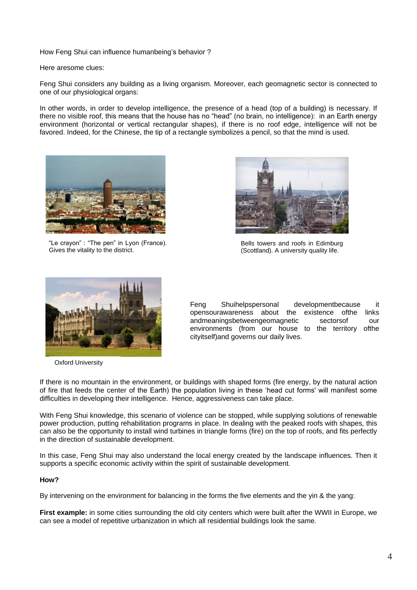How Feng Shui can influence humanbeing's behavior?

Here aresome clues:

Feng Shui considers any building as a living organism. Moreover, each geomagnetic sector is connected to one of our physiological organs:

In other words, in order to develop intelligence, the presence of a head (top of a building) is necessary. If there no visible roof, this means that the house has no "head" (no brain, no intelligence): in an Earth energy environment (horizontal or vertical rectangular shapes), if there is no roof edge, intelligence will not be favored. Indeed, for the Chinese, the tip of a rectangle symbolizes a pencil, so that the mind is used.



"Le crayon" : "The pen" in Lyon (France). Gives the vitality to the district.



Bells towers and roofs in Edimburg (Scottland). A university quality life.



Oxford University

Feng Shuihelpspersonal developmentbecause it opensourawareness about the existence ofthe links andmeaningsbetweengeomagnetic sectorsof our environments (from our house to the territory ofthe cityitself)and governs our daily lives.

If there is no mountain in the environment, or buildings with shaped forms (fire energy, by the natural action of fire that feeds the center of the Earth) the population living in these "head cut forms' will manifest some difficulties in developing their intelligence. Hence, aggressiveness can take place.

With Feng Shui knowledge, this scenario of violence can be stopped, while supplying solutions of renewable power production, putting rehabilitation programs in place. In dealing with the peaked roofs with shapes, this can also be the opportunity to install wind turbines in triangle forms (fire) on the top of roofs, and fits perfectly in the direction of sustainable development.

In this case, Feng Shui may also understand the local energy created by the landscape influences. Then it supports a specific economic activity within the spirit of sustainable development.

#### **How?**

By intervening on the environment for balancing in the forms the five elements and the yin & the yang:

**First example:** in some cities surrounding the old city centers which were built after the WWII in Europe, we can see a model of repetitive urbanization in which all residential buildings look the same.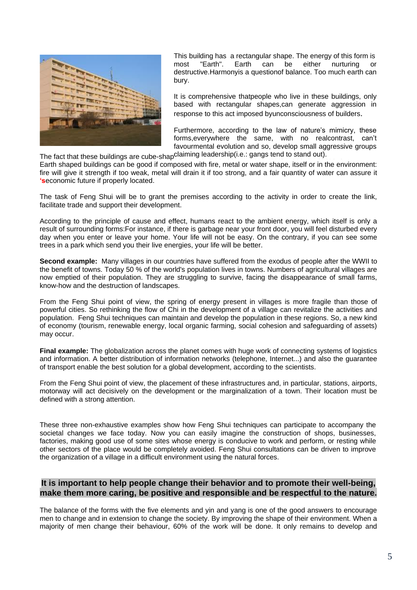

This building has a rectangular shape. The energy of this form is most "Earth". Earth can be either nurturing or destructive.Harmonyis a questionof balance. Too much earth can bury.

It is comprehensive thatpeople who live in these buildings, only based with rectangular shapes, can generate aggression in response to this act imposed byunconsciousness of builders.

The fact that these buildings are cube-shap<sup>claiming</sup> leadership(i.e.: gangs tend to stand out). Furthermore, according to the law of nature's mimicry, these forms,everywhere the same, with no realcontrast, can"t favourmental evolution and so, develop small aggressive groups

Earth shaped buildings can be good if composed with fire, metal or water shape, itself or in the environment: fire will give it strength if too weak, metal will drain it if too strong, and a fair quantity of water can assure it **'s**economic future if properly located.

The task of Feng Shui will be to grant the premises according to the activity in order to create the link, facilitate trade and support their development.

According to the principle of cause and effect, humans react to the ambient energy, which itself is only a result of surrounding forms:For instance, if there is garbage near your front door, you will feel disturbed every day when you enter or leave your home. Your life will not be easy. On the contrary, if you can see some trees in a park which send you their live energies, your life will be better.

**Second example:** Many villages in our countries have suffered from the exodus of people after the WWII to the benefit of towns. Today 50 % of the world's population lives in towns. Numbers of agricultural villages are now emptied of their population. They are struggling to survive, facing the disappearance of small farms, know-how and the destruction of landscapes.

From the Feng Shui point of view, the spring of energy present in villages is more fragile than those of powerful cities. So rethinking the flow of Chi in the development of a village can revitalize the activities and population. Feng Shui techniques can maintain and develop the population in these regions. So, a new kind of economy (tourism, renewable energy, local organic farming, social cohesion and safeguarding of assets) may occur.

**Final example:** The globalization across the planet comes with huge work of connecting systems of logistics and information. A better distribution of information networks (telephone, Internet...) and also the guarantee of transport enable the best solution for a global development, according to the scientists.

From the Feng Shui point of view, the placement of these infrastructures and, in particular, stations, airports, motorway will act decisively on the development or the marginalization of a town. Their location must be defined with a strong attention.

These three non-exhaustive examples show how Feng Shui techniques can participate to accompany the societal changes we face today. Now you can easily imagine the construction of shops, businesses, factories, making good use of some sites whose energy is conducive to work and perform, or resting while other sectors of the place would be completely avoided. Feng Shui consultations can be driven to improve the organization of a village in a difficult environment using the natural forces.

#### **It is important to help people change their behavior and to promote their well-being, make them more caring, be positive and responsible and be respectful to the nature.**

The balance of the forms with the five elements and yin and yang is one of the good answers to encourage men to change and in extension to change the society. By improving the shape of their environment. When a majority of men change their behaviour, 60% of the work will be done. It only remains to develop and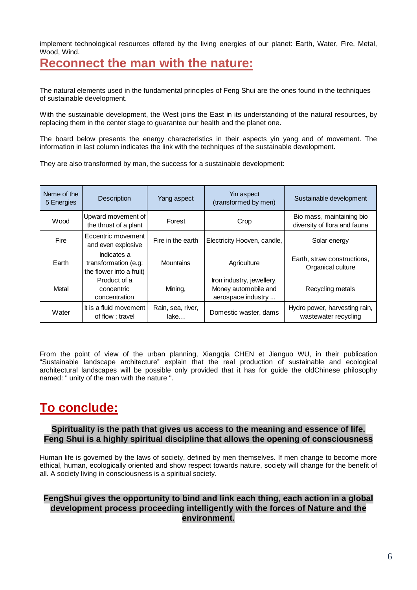implement technological resources offered by the living energies of our planet: Earth, Water, Fire, Metal, Wood, Wind.

### **Reconnect the man with the nature:**

The natural elements used in the fundamental principles of Feng Shui are the ones found in the techniques of sustainable development.

With the sustainable development, the West joins the East in its understanding of the natural resources, by replacing them in the center stage to guarantee our health and the planet one.

The board below presents the energy characteristics in their aspects yin yang and of movement. The information in last column indicates the link with the techniques of the sustainable development.

They are also transformed by man, the success for a sustainable development:

| Name of the<br>5 Energies | <b>Description</b>                                              | Yang aspect               | Yin aspect<br>(transformed by men)                                      | Sustainable development                                   |
|---------------------------|-----------------------------------------------------------------|---------------------------|-------------------------------------------------------------------------|-----------------------------------------------------------|
| Wood                      | Upward movement of<br>the thrust of a plant                     | Forest                    | Crop                                                                    | Bio mass, maintaining bio<br>diversity of flora and fauna |
| Fire                      | Eccentric movement<br>and even explosive                        | Fire in the earth         | Electricity Hooven, candle,                                             | Solar energy                                              |
| Earth                     | Indicates a<br>transformation (e.g:<br>the flower into a fruit) | <b>Mountains</b>          | Agriculture                                                             | Earth, straw constructions,<br>Organical culture          |
| Metal                     | Product of a<br>concentric<br>concentration                     | Mining,                   | Iron industry, jewellery,<br>Money automobile and<br>aerospace industry | Recycling metals                                          |
| Water                     | It is a fluid movement<br>of flow; travel                       | Rain, sea, river,<br>lake | Domestic waster, dams                                                   | Hydro power, harvesting rain,<br>wastewater recycling     |

From the point of view of the urban planning, Xiangqia CHEN et Jianguo WU, in their publication "Sustainable landscape architecture" explain that the real production of sustainable and ecological architectural landscapes will be possible only provided that it has for guide the oldChinese philosophy named: " unity of the man with the nature ".

## **To conclude:**

#### **Spirituality is the path that gives us access to the meaning and essence of life. Feng Shui is a highly spiritual discipline that allows the opening of consciousness**

Human life is governed by the laws of society, defined by men themselves. If men change to become more ethical, human, ecologically oriented and show respect towards nature, society will change for the benefit of all. A society living in consciousness is a spiritual society.

#### **FengShui gives the opportunity to bind and link each thing, each action in a global development process proceeding intelligently with the forces of Nature and the environment.**